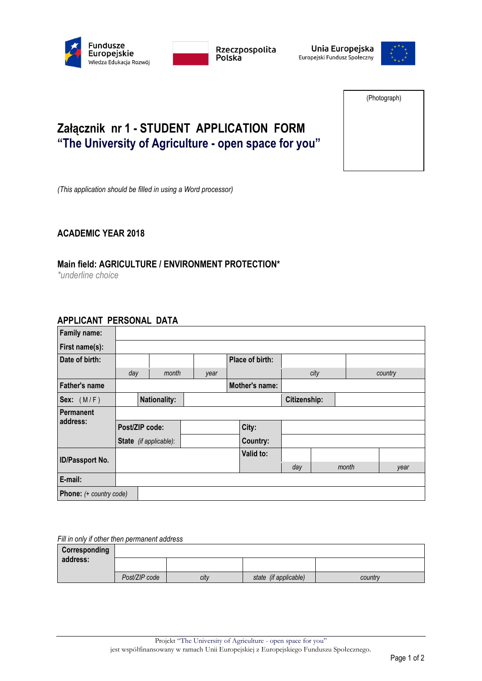



Unia Europejska Europejski Fundusz Społeczny



(Photograph)

# **Załącznik nr 1 - STUDENT APPLICATION FORM "The University of Agriculture - open space for you"**

*(This application should be filled in using a Word processor)*

### **ACADEMIC YEAR 2018**

## **Main field: AGRICULTURE / ENVIRONMENT PROTECTION\***

*\*underline choice*

### **APPLICANT PERSONAL DATA**

| Family name:                   |                |                               |          |                 |      |              |         |      |
|--------------------------------|----------------|-------------------------------|----------|-----------------|------|--------------|---------|------|
| First name(s):                 |                |                               |          |                 |      |              |         |      |
| Date of birth:                 |                |                               |          | Place of birth: |      |              |         |      |
|                                | day            | month                         | year     |                 | city |              | country |      |
| <b>Father's name</b>           |                |                               |          | Mother's name:  |      |              |         |      |
| Sex: $(M/F)$                   |                | <b>Nationality:</b>           |          |                 |      | Citizenship: |         |      |
| <b>Permanent</b>               |                |                               |          |                 |      |              |         |      |
| address:                       | Post/ZIP code: |                               |          | City:           |      |              |         |      |
|                                |                | <b>State</b> (if applicable): | Country: |                 |      |              |         |      |
| ID/Passport No.                |                |                               |          | Valid to:       |      |              |         |      |
|                                |                |                               |          |                 | day  | month        |         | year |
| E-mail:                        |                |                               |          |                 |      |              |         |      |
| <b>Phone:</b> (+ country code) |                |                               |          |                 |      |              |         |      |

*Fill in only if other then permanent address*

| Corresponding |               |      |                       |         |
|---------------|---------------|------|-----------------------|---------|
| address:      |               |      |                       |         |
|               | Post/ZIP code | city | state (if applicable) | country |